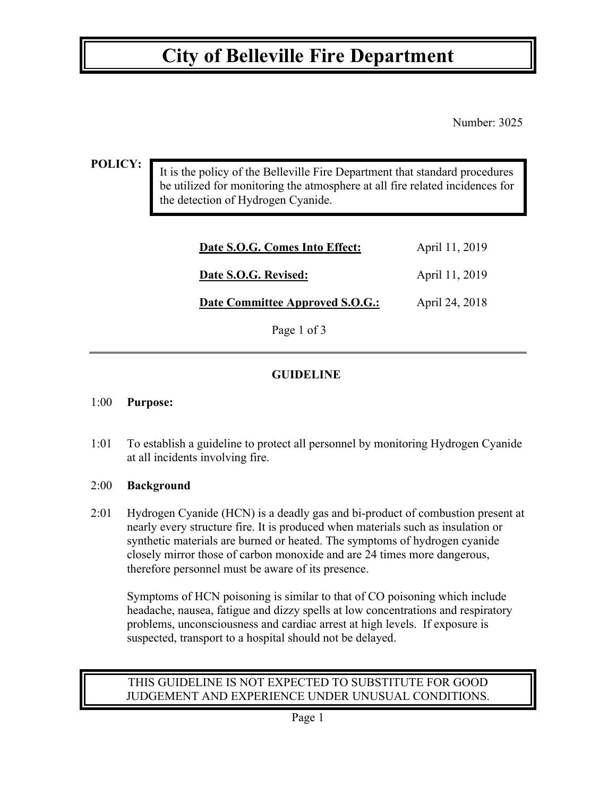## **City of Belleville Fire Department**

Number: 3025

#### **POLICY:**

It is the policy of the Belleville Fire Department that standard procedures be utilized for monitoring the atmosphere at all fire related incidences for the detection of Hydrogen Cyanide.

| Date S.O.G. Comes Into Effect:  | April 11, 2019 |
|---------------------------------|----------------|
| Date S.O.G. Revised:            | April 11, 2019 |
| Date Committee Approved S.O.G.: | April 24, 2018 |

Page 1 of 3

## **GUIDELINE**

#### 1:00 **Purpose:**

1:01 To establish a guideline to protect all personnel by monitoring Hydrogen Cyanide at all incidents involving fire.

#### 2:00 **Background**

2:01 Hydrogen Cyanide (HCN) is a deadly gas and bi-product of combustion present at nearly every structure fire. It is produced when materials such as insulation or synthetic materials are burned or heated. The symptoms of hydrogen cyanide closely mirror those of carbon monoxide and are 24 times more dangerous, therefore personnel must be aware of its presence.

 Symptoms of HCN poisoning is similar to that of CO poisoning which include headache, nausea, fatigue and dizzy spells at low concentrations and respiratory problems, unconsciousness and cardiac arrest at high levels. If exposure is suspected, transport to a hospital should not be delayed.

## THIS GUIDELINE IS NOT EXPECTED TO SUBSTITUTE FOR GOOD JUDGEMENT AND EXPERIENCE UNDER UNUSUAL CONDITIONS.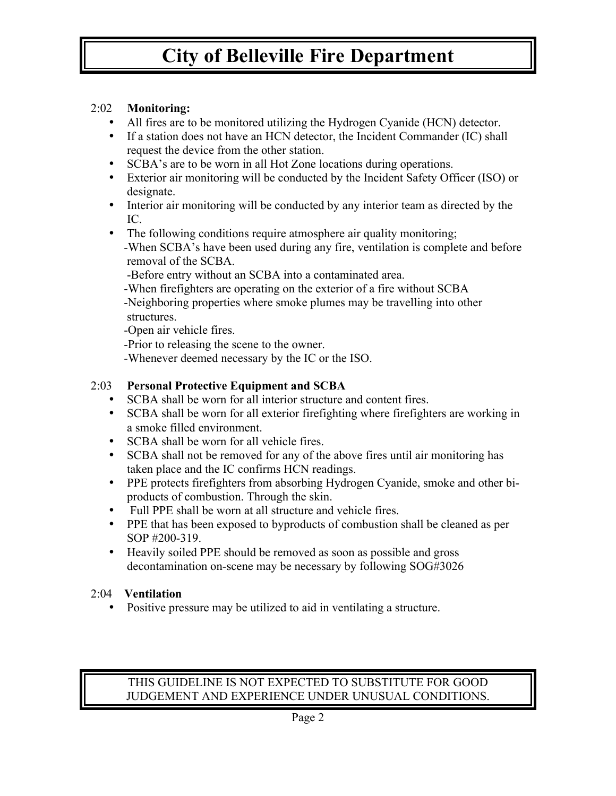# **City of Belleville Fire Department**

## 2:02 **Monitoring:**

- All fires are to be monitored utilizing the Hydrogen Cyanide (HCN) detector.
- If a station does not have an HCN detector, the Incident Commander (IC) shall request the device from the other station.
- SCBA's are to be worn in all Hot Zone locations during operations.
- Exterior air monitoring will be conducted by the Incident Safety Officer (ISO) or designate.
- Interior air monitoring will be conducted by any interior team as directed by the IC.
- The following conditions require atmosphere air quality monitoring; -When SCBA's have been used during any fire, ventilation is complete and before removal of the SCBA.

-Before entry without an SCBA into a contaminated area.

-When firefighters are operating on the exterior of a fire without SCBA

 -Neighboring properties where smoke plumes may be travelling into other structures.

-Open air vehicle fires.

-Prior to releasing the scene to the owner.

-Whenever deemed necessary by the IC or the ISO.

## 2:03 **Personal Protective Equipment and SCBA**

- SCBA shall be worn for all interior structure and content fires.
- SCBA shall be worn for all exterior firefighting where firefighters are working in a smoke filled environment.
- SCBA shall be worn for all vehicle fires.
- SCBA shall not be removed for any of the above fires until air monitoring has taken place and the IC confirms HCN readings.
- PPE protects firefighters from absorbing Hydrogen Cyanide, smoke and other biproducts of combustion. Through the skin.
- Full PPE shall be worn at all structure and vehicle fires.
- PPE that has been exposed to byproducts of combustion shall be cleaned as per SOP #200-319.
- Heavily soiled PPE should be removed as soon as possible and gross decontamination on-scene may be necessary by following SOG#3026

## 2:04 **Ventilation**

• Positive pressure may be utilized to aid in ventilating a structure.

## THIS GUIDELINE IS NOT EXPECTED TO SUBSTITUTE FOR GOOD JUDGEMENT AND EXPERIENCE UNDER UNUSUAL CONDITIONS.